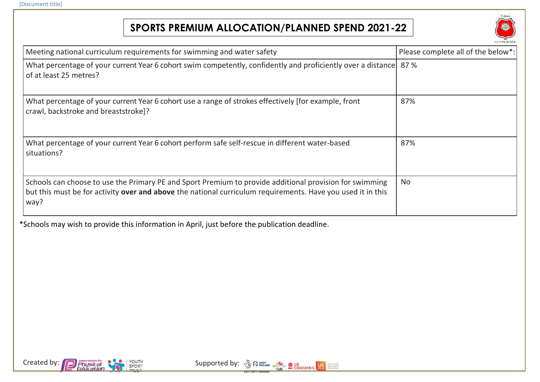## **SPORTS PREMIUM ALLOCATION/PLANNED SPEND 2021-22**



| Meeting national curriculum requirements for swimming and water safety                                                                                                                                                         | Please complete all of the below*: |
|--------------------------------------------------------------------------------------------------------------------------------------------------------------------------------------------------------------------------------|------------------------------------|
| What percentage of your current Year 6 cohort swim competently, confidently and proficiently over a distance<br>of at least 25 metres?                                                                                         | 87%                                |
| What percentage of your current Year 6 cohort use a range of strokes effectively [for example, front<br>crawl, backstroke and breaststroke]?                                                                                   | 87%                                |
| What percentage of your current Year 6 cohort perform safe self-rescue in different water-based<br>situations?                                                                                                                 | 87%                                |
| Schools can choose to use the Primary PE and Sport Premium to provide additional provision for swimming<br>but this must be for activity over and above the national curriculum requirements. Have you used it in this<br>way? | <b>No</b>                          |

\*Schools may wish to provide this information in April, just before the publication deadline.



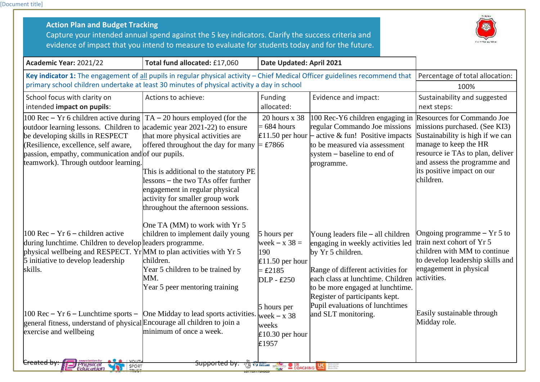[Document title]

| Academic Year: 2021/22                                                                                                                                                                                                                                                                                                                                                                                                   | Total fund allocated: £17,060                                                                                                                                                                                                                                                                                                                                 | Date Updated: April 2021                                                                                                                                                  |                                                                                                                                                                                                                                                                                                       |                                                                                                                                                                                                                                         |
|--------------------------------------------------------------------------------------------------------------------------------------------------------------------------------------------------------------------------------------------------------------------------------------------------------------------------------------------------------------------------------------------------------------------------|---------------------------------------------------------------------------------------------------------------------------------------------------------------------------------------------------------------------------------------------------------------------------------------------------------------------------------------------------------------|---------------------------------------------------------------------------------------------------------------------------------------------------------------------------|-------------------------------------------------------------------------------------------------------------------------------------------------------------------------------------------------------------------------------------------------------------------------------------------------------|-----------------------------------------------------------------------------------------------------------------------------------------------------------------------------------------------------------------------------------------|
| Key indicator 1: The engagement of all pupils in regular physical activity - Chief Medical Officer guidelines recommend that                                                                                                                                                                                                                                                                                             |                                                                                                                                                                                                                                                                                                                                                               |                                                                                                                                                                           |                                                                                                                                                                                                                                                                                                       | Percentage of total allocation:                                                                                                                                                                                                         |
| primary school children undertake at least 30 minutes of physical activity a day in school                                                                                                                                                                                                                                                                                                                               |                                                                                                                                                                                                                                                                                                                                                               |                                                                                                                                                                           |                                                                                                                                                                                                                                                                                                       | 100%                                                                                                                                                                                                                                    |
| School focus with clarity on<br>intended impact on pupils:                                                                                                                                                                                                                                                                                                                                                               | Actions to achieve:                                                                                                                                                                                                                                                                                                                                           | Funding<br>allocated:                                                                                                                                                     | Evidence and impact:                                                                                                                                                                                                                                                                                  | Sustainability and suggested<br>next steps:                                                                                                                                                                                             |
| 100 Rec – Yr 6 children active during<br>outdoor learning lessons. Children to<br>be developing skills in RESPECT<br>(Resilience, excellence, self aware,<br>passion, empathy, communication and of our pupils.<br>teamwork). Through outdoor learning.                                                                                                                                                                  | $TA - 20$ hours employed (for the<br>academic year 2021-22) to ensure<br>that more physical activities are<br>offered throughout the day for many $\models$ £7866<br>This is additional to the statutory PE<br>lessons – the two TAs offer further<br>engagement in regular physical<br>activity for smaller group work<br>throughout the afternoon sessions. | 20 hours $x$ 38<br>$= 684$ hours                                                                                                                                          | 100 Rec-Y6 children engaging in<br>regular Commando Joe missions<br><b>E11.50</b> per hour $\vdash$ active & fun! Positive impacts<br>to be measured via assessment<br>system – baseline to end of<br>programme.                                                                                      | Resources for Commando Joe<br>missions purchased. (See KI3)<br>Sustainability is high if we can<br>manage to keep the HR<br>resource ie TAs to plan, deliver<br>and assess the programme and<br>its positive impact on our<br>children. |
| $100$ Rec – Yr 6 – children active<br>during lunchtime. Children to develop leaders programme.<br>physical wellbeing and RESPECT. YrMM to plan activities with Yr 5<br>5 initiative to develop leadership<br>skills.<br>$100 \text{ Rec} - \text{Yr}$ 6 – Lunchtime sports – One Midday to lead sports activities.<br>general fitness, understand of physical Encourage all children to join a<br>exercise and wellbeing | One TA (MM) to work with Yr 5<br>children to implement daily young<br>children.<br>Year 5 children to be trained by<br>MM.<br>Year 5 peer mentoring training<br>minimum of once a week.                                                                                                                                                                       | 5 hours per<br>week $- x 38 =$<br>190<br>$£11.50$ per hour<br>$\equiv$ £2185<br>$DLP - £250$<br>5 hours per<br>week $-x$ 38<br>weeks<br>$\pounds$ 10.30 per hour<br>£1957 | Young leaders file – all children<br>engaging in weekly activities led<br>by Yr 5 children.<br>Range of different activities for<br>each class at lunchtime. Children<br>to be more engaged at lunchtime.<br>Register of participants kept.<br>Pupil evaluations of lunchtimes<br>and SLT monitoring. | Ongoing programme $- Yr 5$ to<br>train next cohort of Yr 5<br>children with MM to continue<br>to develop leadership skills and<br>engagement in physical<br>activities.<br>Easily sustainable through<br>Midday role.                   |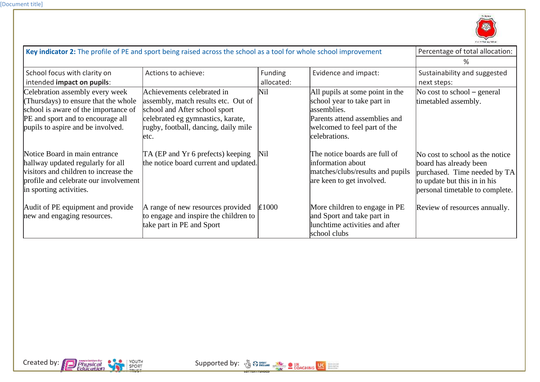

| Key indicator 2: The profile of PE and sport being raised across the school as a tool for whole school improvement                                                                       |                                                                                                                                                                                          |                              |                                                                                                                                                                  | Percentage of total allocation:                                                                                                                              |
|------------------------------------------------------------------------------------------------------------------------------------------------------------------------------------------|------------------------------------------------------------------------------------------------------------------------------------------------------------------------------------------|------------------------------|------------------------------------------------------------------------------------------------------------------------------------------------------------------|--------------------------------------------------------------------------------------------------------------------------------------------------------------|
|                                                                                                                                                                                          |                                                                                                                                                                                          |                              |                                                                                                                                                                  | ℅                                                                                                                                                            |
| School focus with clarity on<br>intended impact on pupils:                                                                                                                               | Actions to achieve:                                                                                                                                                                      | <b>Funding</b><br>allocated: | Evidence and impact:                                                                                                                                             | Sustainability and suggested<br>next steps:                                                                                                                  |
| Celebration assembly every week<br>Thursdays) to ensure that the whole<br>school is aware of the importance of<br>PE and sport and to encourage all<br>pupils to aspire and be involved. | Achievements celebrated in<br>assembly, match results etc. Out of<br>school and After school sport<br>celebrated eg gymnastics, karate,<br>rugby, football, dancing, daily mile<br>letc. | <b>Nil</b>                   | All pupils at some point in the<br>school year to take part in<br>lassemblies.<br>Parents attend assemblies and<br>welcomed to feel part of the<br>celebrations. | No cost to school $-$ general<br>timetabled assembly.                                                                                                        |
| Notice Board in main entrance<br>hallway updated regularly for all<br>visitors and children to increase the<br>profile and celebrate our involvement<br>in sporting activities.          | TA (EP and Yr 6 prefects) keeping<br>the notice board current and updated.                                                                                                               | Nil                          | The notice boards are full of<br>information about<br>matches/clubs/results and pupils<br>are keen to get involved.                                              | No cost to school as the notice<br>board has already been<br>purchased. Time needed by TA<br>to update but this in in his<br>personal timetable to complete. |
| Audit of PE equipment and provide<br>new and engaging resources.                                                                                                                         | A range of new resources provided<br>to engage and inspire the children to<br>take part in PE and Sport                                                                                  | £1000                        | More children to engage in PE<br>and Sport and take part in<br>lunchtime activities and after<br>school clubs                                                    | Review of resources annually.                                                                                                                                |

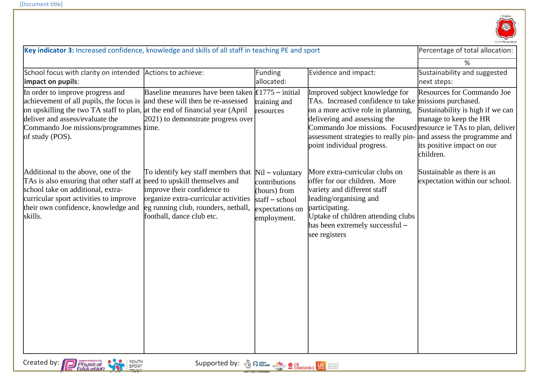

| Key indicator 3: Increased confidence, knowledge and skills of all staff in teaching PE and sport               |                                                             |                   | Percentage of total allocation:                                   |                                  |
|-----------------------------------------------------------------------------------------------------------------|-------------------------------------------------------------|-------------------|-------------------------------------------------------------------|----------------------------------|
|                                                                                                                 |                                                             |                   |                                                                   | %                                |
| School focus with clarity on intended                                                                           | Actions to achieve:                                         | Funding           | Evidence and impact:                                              | Sustainability and suggested     |
| impact on pupils:                                                                                               |                                                             | allocated:        |                                                                   | next steps:                      |
| In order to improve progress and                                                                                | Baseline measures have been taken $\epsilon$ 1775 – initial |                   | Improved subject knowledge for                                    | Resources for Commando Joe       |
| achievement of all pupils, the focus is                                                                         | and these will then be re-assessed                          | training and      | TAs. Increased confidence to take missions purchased.             |                                  |
| on upskilling the two TA staff to plan, at the end of financial year (April                                     |                                                             | resources         | on a more active role in planning,                                | Sustainability is high if we can |
| deliver and assess/evaluate the                                                                                 | 2021) to demonstrate progress over                          |                   | delivering and assessing the                                      | manage to keep the HR            |
| Commando Joe missions/programmes time.                                                                          |                                                             |                   | Commando Joe missions. Focused resource ie TAs to plan, deliver   |                                  |
| of study (POS).                                                                                                 |                                                             |                   | assessment strategies to really pin- and assess the programme and |                                  |
|                                                                                                                 |                                                             |                   | point individual progress.                                        | its positive impact on our       |
|                                                                                                                 |                                                             |                   |                                                                   | children.                        |
| Additional to the above, one of the                                                                             | To identify key staff members that                          | $Nil - voluntary$ | More extra-curricular clubs on                                    | Sustainable as there is an       |
| TAs is also ensuring that other staff at                                                                        | need to upskill themselves and                              | contributions     | offer for our children. More                                      | expectation within our school.   |
| school take on additional, extra-                                                                               | improve their confidence to                                 | (hours) from      | variety and different staff                                       |                                  |
| curricular sport activities to improve                                                                          | organize extra-curricular activities                        | $statf - school$  | leading/organising and                                            |                                  |
| their own confidence, knowledge and                                                                             | eg running club, rounders, netball,                         | expectations on   | participating.                                                    |                                  |
| skills.                                                                                                         | football, dance club etc.                                   | employment.       | Uptake of children attending clubs                                |                                  |
|                                                                                                                 |                                                             |                   | has been extremely successful -                                   |                                  |
|                                                                                                                 |                                                             |                   | see registers                                                     |                                  |
|                                                                                                                 |                                                             |                   |                                                                   |                                  |
|                                                                                                                 |                                                             |                   |                                                                   |                                  |
|                                                                                                                 |                                                             |                   |                                                                   |                                  |
|                                                                                                                 |                                                             |                   |                                                                   |                                  |
|                                                                                                                 |                                                             |                   |                                                                   |                                  |
|                                                                                                                 |                                                             |                   |                                                                   |                                  |
|                                                                                                                 |                                                             |                   |                                                                   |                                  |
|                                                                                                                 |                                                             |                   |                                                                   |                                  |
|                                                                                                                 |                                                             |                   |                                                                   |                                  |
|                                                                                                                 |                                                             |                   |                                                                   |                                  |
|                                                                                                                 |                                                             |                   |                                                                   |                                  |
|                                                                                                                 |                                                             |                   |                                                                   |                                  |
| Created by:<br>amochidantar<br>Education<br>YOUTH<br>Supported by: 3 SAMEL SAMEL POACHING US EN<br><b>SPORT</b> |                                                             |                   |                                                                   |                                  |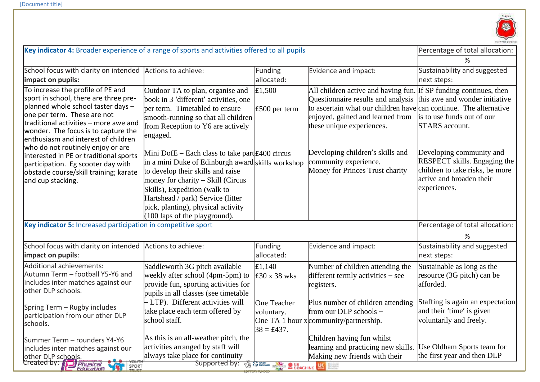

| Key indicator 4: Broader experience of a range of sports and activities offered to all pupils |                                                                               |                           |                                                                                                                                        | Percentage of total allocation:                      |
|-----------------------------------------------------------------------------------------------|-------------------------------------------------------------------------------|---------------------------|----------------------------------------------------------------------------------------------------------------------------------------|------------------------------------------------------|
|                                                                                               |                                                                               |                           |                                                                                                                                        | %                                                    |
| School focus with clarity on intended                                                         | Actions to achieve:                                                           | Funding                   | Evidence and impact:                                                                                                                   | Sustainability and suggested                         |
| impact on pupils:                                                                             |                                                                               | allocated:                |                                                                                                                                        | next steps:                                          |
| To increase the profile of PE and                                                             | Outdoor TA to plan, organise and                                              | E1,500                    | All children active and having fun. If SP funding continues, then                                                                      |                                                      |
| sport in school, there are three pre-<br>planned whole school taster days -                   | book in 3 'different' activities, one<br>per term. Timetabled to ensure       | $£500$ per term           | Questionnaire results and analysis this awe and wonder initiative<br>to ascertain what our children have can continue. The alternative |                                                      |
| one per term. These are not                                                                   | smooth-running so that all children                                           |                           | enjoyed, gained and learned from $\parallel$ is to use funds out of our                                                                |                                                      |
| traditional activities - more awe and<br>wonder. The focus is to capture the                  | from Reception to Y6 are actively                                             |                           | these unique experiences.                                                                                                              | STARS account.                                       |
| enthusiasm and interest of children                                                           | engaged.                                                                      |                           |                                                                                                                                        |                                                      |
| who do not routinely enjoy or are                                                             | Mini DofE – Each class to take part $\pounds$ 400 circus                      |                           | Developing children's skills and                                                                                                       | Developing community and                             |
| interested in PE or traditional sports<br>participation. Eg scooter day with                  | in a mini Duke of Edinburgh award skills workshop                             |                           | community experience.                                                                                                                  | RESPECT skills. Engaging the                         |
| obstacle course/skill training; karate                                                        | to develop their skills and raise                                             |                           | Money for Princes Trust charity                                                                                                        | children to take risks, be more                      |
| and cup stacking.                                                                             | money for charity - Skill (Circus                                             |                           |                                                                                                                                        | active and broaden their                             |
|                                                                                               | Skills), Expedition (walk to                                                  |                           |                                                                                                                                        | experiences.                                         |
|                                                                                               | Hartshead / park) Service (litter                                             |                           |                                                                                                                                        |                                                      |
|                                                                                               | pick, planting), physical activity<br>$(100 \text{ laps of the playground}).$ |                           |                                                                                                                                        |                                                      |
| Key indicator 5: Increased participation in competitive sport                                 |                                                                               |                           |                                                                                                                                        | Percentage of total allocation:                      |
|                                                                                               |                                                                               |                           |                                                                                                                                        | %                                                    |
| School focus with clarity on intended                                                         | Actions to achieve:                                                           | Funding                   | Evidence and impact:                                                                                                                   | Sustainability and suggested                         |
| impact on pupils:                                                                             |                                                                               | allocated:                |                                                                                                                                        | next steps:                                          |
| Additional achievements:                                                                      | Saddleworth 3G pitch available                                                | E1,140                    | Number of children attending the                                                                                                       | Sustainable as long as the                           |
| Autumn Term - football Y5-Y6 and                                                              | weekly after school (4pm-5pm) to                                              | £30 x 38 wks              | different termly activities – see                                                                                                      | resource (3G pitch) can be                           |
| includes inter matches against our                                                            | provide fun, sporting activities for                                          |                           | registers.                                                                                                                             | afforded.                                            |
| other DLP schools.                                                                            | pupils in all classes (see timetable                                          |                           |                                                                                                                                        |                                                      |
| Spring Term - Rugby includes                                                                  | - LTP). Different activities will                                             | One Teacher               | Plus number of children attending                                                                                                      | Staffing is again an expectation                     |
| participation from our other DLP                                                              | take place each term offered by<br>school staff.                              | voluntary.                | from our DLP schools -                                                                                                                 | and their 'time' is given<br>voluntarily and freely. |
| schools.                                                                                      |                                                                               | $38 = \text{\pounds}437.$ | One TA 1 hour x community/partnership.                                                                                                 |                                                      |
| Summer Term - rounders Y4-Y6                                                                  | As this is an all-weather pitch, the                                          |                           | Children having fun whilst                                                                                                             |                                                      |
| includes inter matches against our                                                            | activities arranged by staff will                                             |                           | learning and practicing new skills.                                                                                                    | Use Oldham Sports team for                           |
| other DLP schools.                                                                            | always take place for continuity                                              |                           | Making new friends with their                                                                                                          | the first year and then DLP                          |
| Created by: <b>M</b><br><b>Physical</b><br>Education<br>SPORT                                 | Supported by: 3 mm stress out Coaching US ESS                                 |                           |                                                                                                                                        |                                                      |